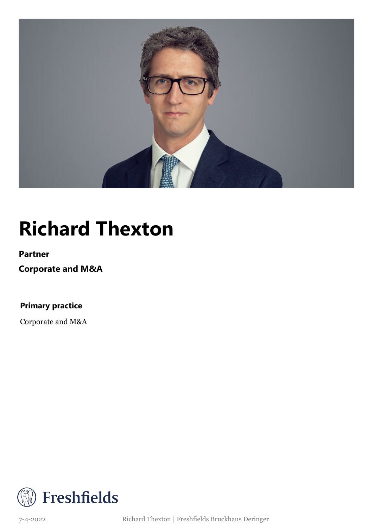

## **Richard Thexton**

### **Partner**

**Corporate and M&A**

**Primary practice**

Corporate and M&A



7-4-2022 Richard Thexton | Freshfields Bruckhaus Deringer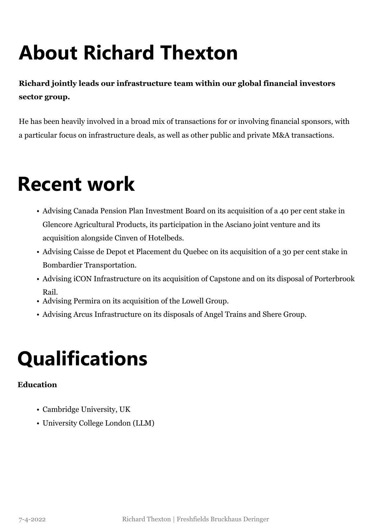# **About Richard Thexton**

### **Richard jointly leads our infrastructure team within our global financial investors sector group.**

He has been heavily involved in a broad mix of transactions for or involving financial sponsors, with a particular focus on infrastructure deals, as well as other public and private M&A transactions.

## **Recent work**

- Advising Canada Pension Plan Investment Board on its acquisition of a 40 per cent stake in Glencore Agricultural Products, its participation in the Asciano joint venture and its acquisition alongside Cinven of Hotelbeds.
- Advising Caisse de Depot et Placement du Quebec on its acquisition of a 30 per cent stake in Bombardier Transportation.
- Advising iCON Infrastructure on its acquisition of Capstone and on its disposal of Porterbrook Rail.
- Advising Permira on its acquisition of the Lowell Group.
- Advising Arcus Infrastructure on its disposals of Angel Trains and Shere Group.

## **Qualifications**

### **Education**

- Cambridge University, UK
- University College London (LLM)